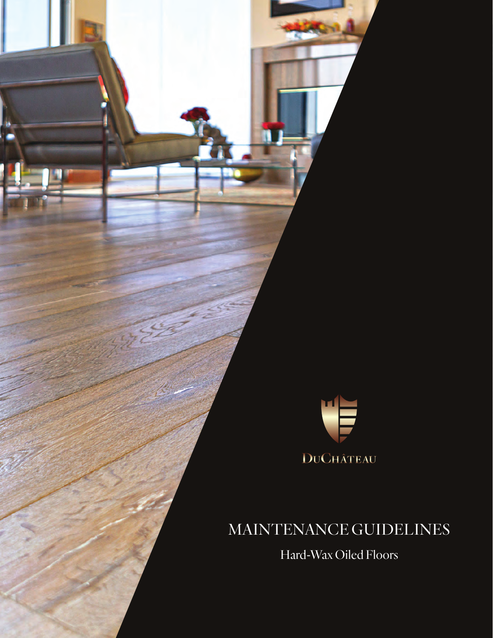

## MAINTENANCE GUIDELINES

Hard-Wax Oiled Floors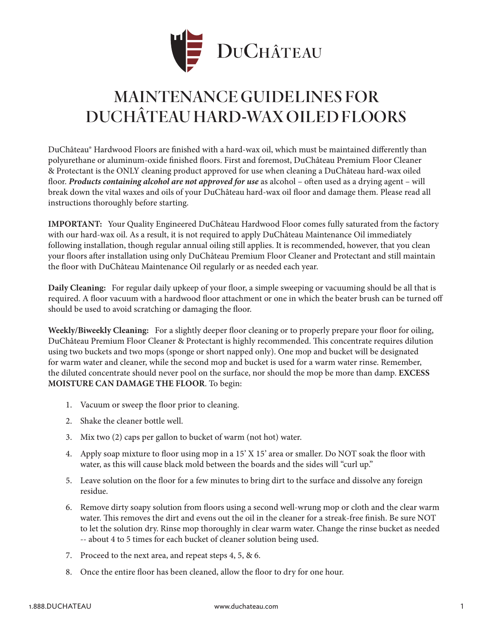

### MAINTENANCE GUIDELINES FOR DUCHÂTEAU HARD-WAX OILED FLOORS

DuChâteau® Hardwood Floors are finished with a hard-wax oil, which must be maintained differently than polyurethane or aluminum-oxide finished floors. First and foremost, DuChâteau Premium Floor Cleaner & Protectant is the ONLY cleaning product approved for use when cleaning a DuChâteau hard-wax oiled floor. *Products containing alcohol are not approved for use* as alcohol – often used as a drying agent – will break down the vital waxes and oils of your DuChâteau hard-wax oil floor and damage them. Please read all instructions thoroughly before starting.

**IMPORTANT:** Your Quality Engineered DuChâteau Hardwood Floor comes fully saturated from the factory with our hard-wax oil. As a result, it is not required to apply DuChâteau Maintenance Oil immediately following installation, though regular annual oiling still applies. It is recommended, however, that you clean your floors after installation using only DuChâteau Premium Floor Cleaner and Protectant and still maintain the floor with DuChâteau Maintenance Oil regularly or as needed each year.

**Daily Cleaning:** For regular daily upkeep of your floor, a simple sweeping or vacuuming should be all that is required. A floor vacuum with a hardwood floor attachment or one in which the beater brush can be turned off should be used to avoid scratching or damaging the floor.

**Weekly/Biweekly Cleaning:** For a slightly deeper floor cleaning or to properly prepare your floor for oiling, DuChâteau Premium Floor Cleaner & Protectant is highly recommended. This concentrate requires dilution using two buckets and two mops (sponge or short napped only). One mop and bucket will be designated for warm water and cleaner, while the second mop and bucket is used for a warm water rinse. Remember, the diluted concentrate should never pool on the surface, nor should the mop be more than damp. **EXCESS MOISTURE CAN DAMAGE THE FLOOR**. To begin:

- 1. Vacuum or sweep the floor prior to cleaning.
- 2. Shake the cleaner bottle well.
- 3. Mix two (2) caps per gallon to bucket of warm (not hot) water.
- 4. Apply soap mixture to floor using mop in a 15' X 15' area or smaller. Do NOT soak the floor with water, as this will cause black mold between the boards and the sides will "curl up."
- 5. Leave solution on the floor for a few minutes to bring dirt to the surface and dissolve any foreign residue.
- 6. Remove dirty soapy solution from floors using a second well-wrung mop or cloth and the clear warm water. This removes the dirt and evens out the oil in the cleaner for a streak-free finish. Be sure NOT to let the solution dry. Rinse mop thoroughly in clear warm water. Change the rinse bucket as needed -- about 4 to 5 times for each bucket of cleaner solution being used.
- 7. Proceed to the next area, and repeat steps 4, 5, & 6.
- 8. Once the entire floor has been cleaned, allow the floor to dry for one hour.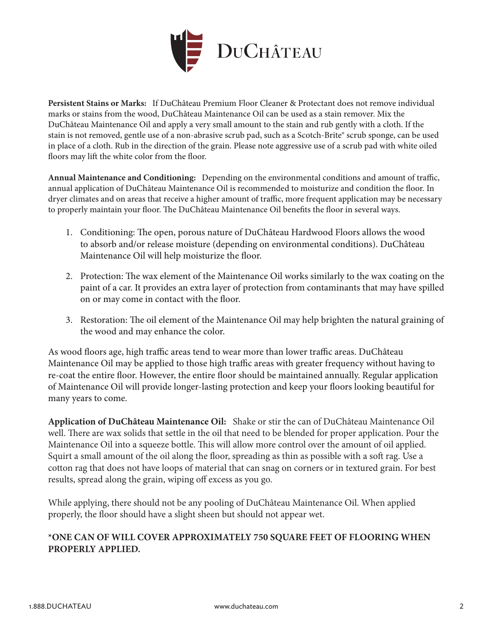

**Persistent Stains or Marks:** If DuChâteau Premium Floor Cleaner & Protectant does not remove individual marks or stains from the wood, DuChâteau Maintenance Oil can be used as a stain remover. Mix the DuChâteau Maintenance Oil and apply a very small amount to the stain and rub gently with a cloth. If the stain is not removed, gentle use of a non-abrasive scrub pad, such as a Scotch-Brite® scrub sponge, can be used in place of a cloth. Rub in the direction of the grain. Please note aggressive use of a scrub pad with white oiled floors may lift the white color from the floor.

**Annual Maintenance and Conditioning:** Depending on the environmental conditions and amount of traffic, annual application of DuChâteau Maintenance Oil is recommended to moisturize and condition the floor. In dryer climates and on areas that receive a higher amount of traffic, more frequent application may be necessary to properly maintain your floor. The DuChâteau Maintenance Oil benefits the floor in several ways.

- 1. Conditioning: The open, porous nature of DuChâteau Hardwood Floors allows the wood to absorb and/or release moisture (depending on environmental conditions). DuChâteau Maintenance Oil will help moisturize the floor.
- 2. Protection: The wax element of the Maintenance Oil works similarly to the wax coating on the paint of a car. It provides an extra layer of protection from contaminants that may have spilled on or may come in contact with the floor.
- 3. Restoration: The oil element of the Maintenance Oil may help brighten the natural graining of the wood and may enhance the color.

As wood floors age, high traffic areas tend to wear more than lower traffic areas. DuChâteau Maintenance Oil may be applied to those high traffic areas with greater frequency without having to re-coat the entire floor. However, the entire floor should be maintained annually. Regular application of Maintenance Oil will provide longer-lasting protection and keep your floors looking beautiful for many years to come.

**Application of DuChâteau Maintenance Oil:** Shake or stir the can of DuChâteau Maintenance Oil well. There are wax solids that settle in the oil that need to be blended for proper application. Pour the Maintenance Oil into a squeeze bottle. This will allow more control over the amount of oil applied. Squirt a small amount of the oil along the floor, spreading as thin as possible with a soft rag. Use a cotton rag that does not have loops of material that can snag on corners or in textured grain. For best results, spread along the grain, wiping off excess as you go.

While applying, there should not be any pooling of DuChâteau Maintenance Oil. When applied properly, the floor should have a slight sheen but should not appear wet.

### **\*ONE CAN OF WILL COVER APPROXIMATELY 750 SQUARE FEET OF FLOORING WHEN PROPERLY APPLIED.**